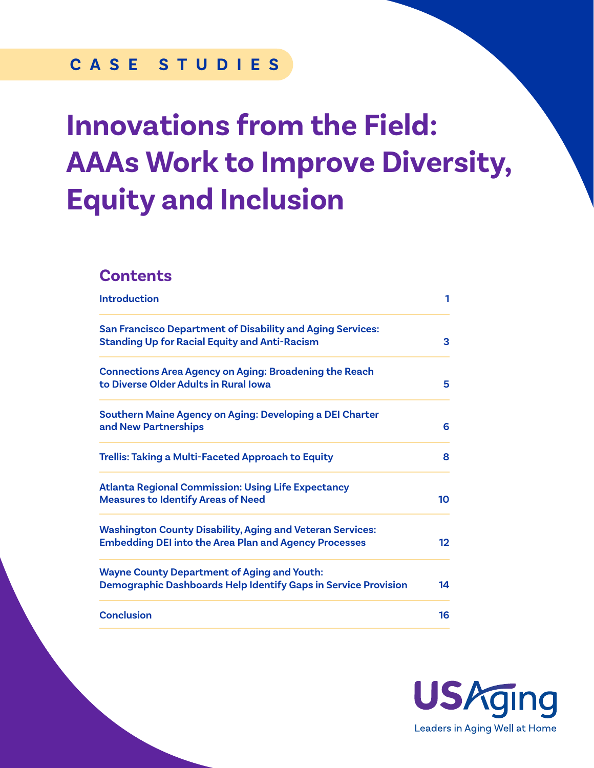# **CASE STUDIES**

# **Innovations from the Field: AAAs Work to Improve Diversity, Equity and Inclusion**

### **Contents**

| <b>Introduction</b>                                                                                                              | 1                 |
|----------------------------------------------------------------------------------------------------------------------------------|-------------------|
| <b>San Francisco Department of Disability and Aging Services:</b><br><b>Standing Up for Racial Equity and Anti-Racism</b>        | 3                 |
| <b>Connections Area Agency on Aging: Broadening the Reach</b><br>to Diverse Older Adults in Rural Iowa                           | 5                 |
| Southern Maine Agency on Aging: Developing a DEI Charter<br>and New Partnerships                                                 | 6                 |
| <b>Trellis: Taking a Multi-Faceted Approach to Equity</b>                                                                        | 8                 |
| <b>Atlanta Regional Commission: Using Life Expectancy</b><br><b>Measures to Identify Areas of Need</b>                           | 10                |
| <b>Washington County Disability, Aging and Veteran Services:</b><br><b>Embedding DEI into the Area Plan and Agency Processes</b> | $12 \overline{)}$ |
| <b>Wayne County Department of Aging and Youth:</b><br>Demographic Dashboards Help Identify Gaps in Service Provision             | 14                |
| <b>Conclusion</b>                                                                                                                | 16                |

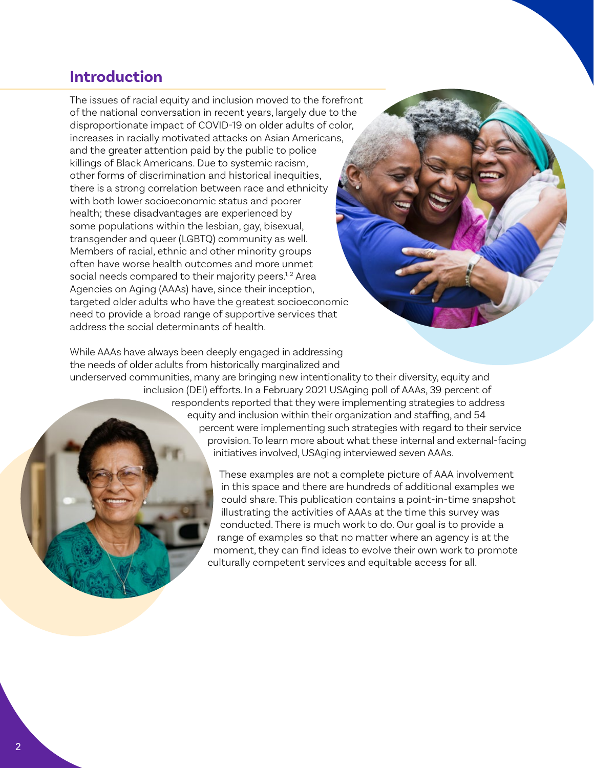### <span id="page-1-0"></span>**Introduction**

The issues of racial equity and inclusion moved to the forefront of the national conversation in recent years, largely due to the disproportionate impact of COVID-19 on older adults of color, increases in racially motivated attacks on Asian Americans, and the greater attention paid by the public to police killings of Black Americans. Due to systemic racism, other forms of discrimination and historical inequities, there is a strong correlation between race and ethnicity with both lower socioeconomic status and poorer health; these disadvantages are experienced by some populations within the lesbian, gay, bisexual, transgender and queer (LGBTQ) community as well. Members of racial, ethnic and other minority groups often have worse health outcomes and more unmet social needs compared to their majority peers. $1,2$  Area Agencies on Aging (AAAs) have, since their inception, targeted older adults who have the greatest socioeconomic need to provide a broad range of supportive services that address the social determinants of health.

While AAAs have always been deeply engaged in addressing the needs of older adults from historically marginalized and underserved communities, many are bringing new intentionality to their diversity, equity and inclusion (DEI) efforts. In a February 2021 USAging poll of AAAs, 39 percent of respondents reported that they were implementing strategies to address equity and inclusion within their organization and staffing, and 54 percent were implementing such strategies with regard to their service provision. To learn more about what these internal and external-facing initiatives involved, USAging interviewed seven AAAs.

> These examples are not a complete picture of AAA involvement in this space and there are hundreds of additional examples we could share. This publication contains a point-in-time snapshot illustrating the activities of AAAs at the time this survey was conducted. There is much work to do. Our goal is to provide a range of examples so that no matter where an agency is at the moment, they can find ideas to evolve their own work to promote culturally competent services and equitable access for all.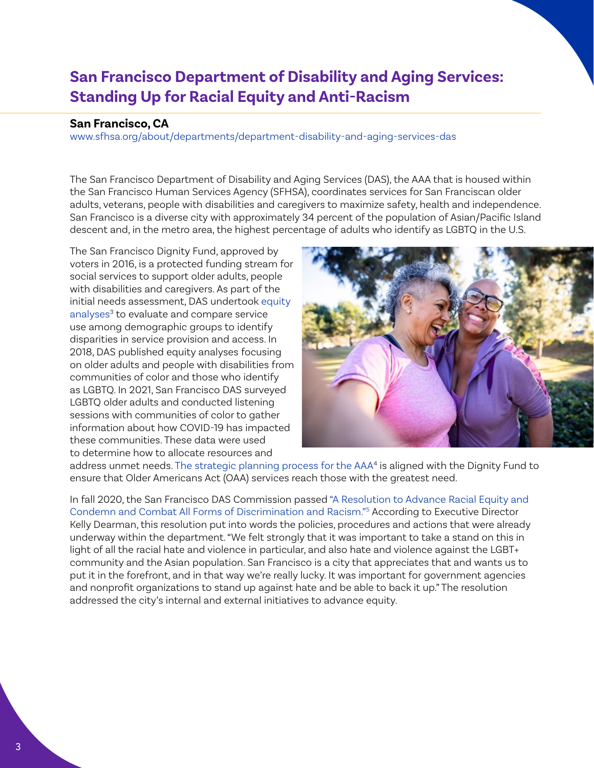# <span id="page-2-0"></span>**San Francisco Department of Disability and Aging Services: Standing Up for Racial Equity and Anti-Racism**

#### **San Francisco, CA**

[www.sfhsa.org/about/departments/department-disability-and-aging-services-das](https://www.sfhsa.org/about/departments/department-disability-and-aging-services-das)

The San Francisco Department of Disability and Aging Services (DAS), the AAA that is housed within the San Francisco Human Services Agency (SFHSA), coordinates services for San Franciscan older adults, veterans, people with disabilities and caregivers to maximize safety, health and independence. San Francisco is a diverse city with approximately 34 percent of the population of Asian/Pacific Island descent and, in the metro area, the highest percentage of adults who identify as LGBTQ in the U.S.

The San Francisco Dignity Fund, approved by voters in 2016, is a protected funding stream for social services to support older adults, people with disabilities and caregivers. As part of the initial needs assessment, DAS undertook [equity](https://www.sfhsa.org/about/reports-publications/older-adults-and-people-disabilities-plans-and-reports)  [analyses](https://www.sfhsa.org/about/reports-publications/older-adults-and-people-disabilities-plans-and-reports)<sup>[3](#page-16-0)</sup> to evaluate and compare service use among demographic groups to identify disparities in service provision and access. In 2018, DAS published equity analyses focusing on older adults and people with disabilities from communities of color and those who identify as LGBTQ. In 2021, San Francisco DAS surveyed LGBTQ older adults and conducted listening sessions with communities of color to gather information about how COVID-19 has impacted these communities. These data were used to determine how to allocate resources and



address unmet needs. [The strategic planning process for the AAA](https://www.sfhsa.org/about/reports-publications/older-adults-and-people-disabilities-plans-and-reports/area-agency-aging)<sup>[4](#page-16-0)</sup> is aligned with the Dignity Fund to ensure that Older Americans Act (OAA) services reach those with the greatest need.

In fall 2020, the San Francisco DAS Commission passed ["A Resolution to Advance Racial Equity and](https://www.sfhsa.org/sites/default/files/DASCOM_AgendaItem11_RacialEquitiyResolution_11.04.20.pdf)  [Condemn and Combat All Forms of Discrimination and Racism."](https://www.sfhsa.org/sites/default/files/DASCOM_AgendaItem11_RacialEquitiyResolution_11.04.20.pdf)[5](#page-16-0) According to Executive Director Kelly Dearman, this resolution put into words the policies, procedures and actions that were already underway within the department. "We felt strongly that it was important to take a stand on this in light of all the racial hate and violence in particular, and also hate and violence against the LGBT+ community and the Asian population. San Francisco is a city that appreciates that and wants us to put it in the forefront, and in that way we're really lucky. It was important for government agencies and nonprofit organizations to stand up against hate and be able to back it up." The resolution addressed the city's internal and external initiatives to advance equity.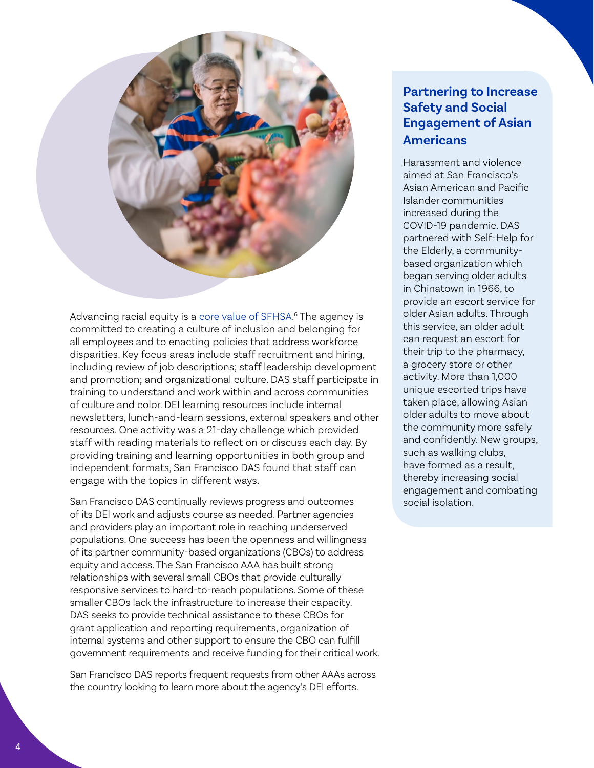<span id="page-3-0"></span>

Advancing racial equity is a [core value of SFHSA](https://www.sfhsa.org/about/advancing-racial-equity-hsa). [6](#page-16-0) The agency is committed to creating a culture of inclusion and belonging for all employees and to enacting policies that address workforce disparities. Key focus areas include staff recruitment and hiring, including review of job descriptions; staff leadership development and promotion; and organizational culture. DAS staff participate in training to understand and work within and across communities of culture and color. DEI learning resources include internal newsletters, lunch-and-learn sessions, external speakers and other resources. One activity was a 21-day challenge which provided staff with reading materials to reflect on or discuss each day. By providing training and learning opportunities in both group and independent formats, San Francisco DAS found that staff can engage with the topics in different ways.

San Francisco DAS continually reviews progress and outcomes of its DEI work and adjusts course as needed. Partner agencies and providers play an important role in reaching underserved populations. One success has been the openness and willingness of its partner community-based organizations (CBOs) to address equity and access. The San Francisco AAA has built strong relationships with several small CBOs that provide culturally responsive services to hard-to-reach populations. Some of these smaller CBOs lack the infrastructure to increase their capacity. DAS seeks to provide technical assistance to these CBOs for grant application and reporting requirements, organization of internal systems and other support to ensure the CBO can fulfill government requirements and receive funding for their critical work.

San Francisco DAS reports frequent requests from other AAAs across the country looking to learn more about the agency's DEI efforts.

### **Partnering to Increase Safety and Social Engagement of Asian Americans**

Harassment and violence aimed at San Francisco's Asian American and Pacific Islander communities increased during the COVID-19 pandemic. DAS partnered with Self-Help for the Elderly, a communitybased organization which began serving older adults in Chinatown in 1966, to provide an escort service for older Asian adults. Through this service, an older adult can request an escort for their trip to the pharmacy, a grocery store or other activity. More than 1,000 unique escorted trips have taken place, allowing Asian older adults to move about the community more safely and confidently. New groups, such as walking clubs, have formed as a result, thereby increasing social engagement and combating social isolation.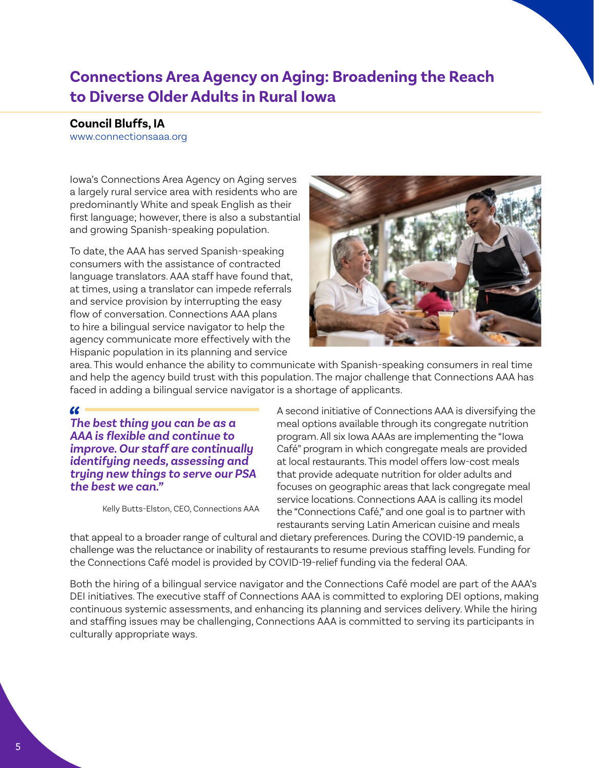# <span id="page-4-0"></span>**Connections Area Agency on Aging: Broadening the Reach to Diverse Older Adults in Rural Iowa**

#### **Council Bluffs, IA**

<www.connectionsaaa.org>

Iowa's Connections Area Agency on Aging serves a largely rural service area with residents who are predominantly White and speak English as their first language; however, there is also a substantial and growing Spanish-speaking population.

To date, the AAA has served Spanish-speaking consumers with the assistance of contracted language translators. AAA staff have found that, at times, using a translator can impede referrals and service provision by interrupting the easy flow of conversation. Connections AAA plans to hire a bilingual service navigator to help the agency communicate more effectively with the Hispanic population in its planning and service



area. This would enhance the ability to communicate with Spanish-speaking consumers in real time and help the agency build trust with this population. The major challenge that Connections AAA has faced in adding a bilingual service navigator is a shortage of applicants.

#### 66

*The best thing you can be as a AAA is flexible and continue to improve. Our staff are continually identifying needs, assessing and trying new things to serve our PSA the best we can."*

Kelly Butts-Elston, CEO, Connections AAA

A second initiative of Connections AAA is diversifying the meal options available through its congregate nutrition program. All six Iowa AAAs are implementing the "Iowa Café" program in which congregate meals are provided at local restaurants. This model offers low-cost meals that provide adequate nutrition for older adults and focuses on geographic areas that lack congregate meal service locations. Connections AAA is calling its model the "Connections Café," and one goal is to partner with restaurants serving Latin American cuisine and meals

that appeal to a broader range of cultural and dietary preferences. During the COVID-19 pandemic, a challenge was the reluctance or inability of restaurants to resume previous staffing levels. Funding for the Connections Café model is provided by COVID-19-relief funding via the federal OAA.

Both the hiring of a bilingual service navigator and the Connections Café model are part of the AAA's DEI initiatives. The executive staff of Connections AAA is committed to exploring DEI options, making continuous systemic assessments, and enhancing its planning and services delivery. While the hiring and staffing issues may be challenging, Connections AAA is committed to serving its participants in culturally appropriate ways.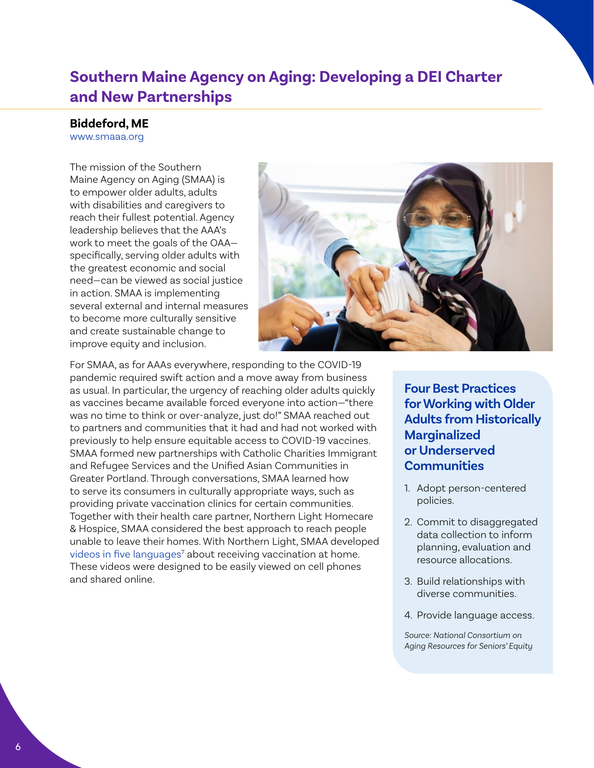### <span id="page-5-0"></span>**Southern Maine Agency on Aging: Developing a DEI Charter and New Partnerships**

**Biddeford, ME**

[www.smaaa.org](http://www.smaaa.org)

The mission of the Southern Maine Agency on Aging (SMAA) is to empower older adults, adults with disabilities and caregivers to reach their fullest potential. Agency leadership believes that the AAA's work to meet the goals of the OAA specifically, serving older adults with the greatest economic and social need—can be viewed as social justice in action. SMAA is implementing several external and internal measures to become more culturally sensitive and create sustainable change to improve equity and inclusion.



For SMAA, as for AAAs everywhere, responding to the COVID-19 pandemic required swift action and a move away from business as usual. In particular, the urgency of reaching older adults quickly as vaccines became available forced everyone into action—"there was no time to think or over-analyze, just do!" SMAA reached out to partners and communities that it had and had not worked with previously to help ensure equitable access to COVID-19 vaccines. SMAA formed new partnerships with Catholic Charities Immigrant and Refugee Services and the Unified Asian Communities in Greater Portland. Through conversations, SMAA learned how to serve its consumers in culturally appropriate ways, such as providing private vaccination clinics for certain communities. Together with their health care partner, Northern Light Homecare & Hospice, SMAA considered the best approach to reach people unable to leave their homes. With Northern Light, SMAA developed [videos in five languages](https://www.youtube.com/playlist?list=PLhiRH4oTJVTEufitnirrm0ahIMAUFAO-W)<sup>[7](#page-16-0)</sup> about receiving vaccination at home. These videos were designed to be easily viewed on cell phones and shared online.

**Four Best Practices for Working with Older Adults from Historically Marginalized or Underserved Communities**

- 1. Adopt person-centered policies.
- 2. Commit to disaggregated data collection to inform planning, evaluation and resource allocations.
- 3. Build relationships with diverse communities.
- 4. Provide language access.

*Source: National Consortium on Aging Resources for Seniors' Equity*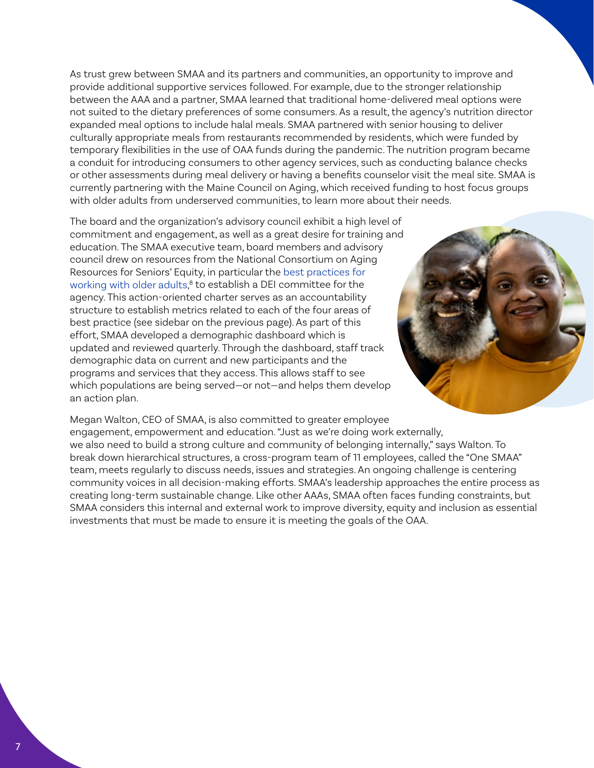<span id="page-6-0"></span>As trust grew between SMAA and its partners and communities, an opportunity to improve and provide additional supportive services followed. For example, due to the stronger relationship between the AAA and a partner, SMAA learned that traditional home-delivered meal options were not suited to the dietary preferences of some consumers. As a result, the agency's nutrition director expanded meal options to include halal meals. SMAA partnered with senior housing to deliver culturally appropriate meals from restaurants recommended by residents, which were funded by temporary flexibilities in the use of OAA funds during the pandemic. The nutrition program became a conduit for introducing consumers to other agency services, such as conducting balance checks or other assessments during meal delivery or having a benefits counselor visit the meal site. SMAA is currently partnering with the Maine Council on Aging, which received funding to host focus groups with older adults from underserved communities, to learn more about their needs.

The board and the organization's advisory council exhibit a high level of commitment and engagement, as well as a great desire for training and education. The SMAA executive team, board members and advisory council drew on resources from the National Consortium on Aging Resources for Seniors' Equity, in particular the [best practices for](https://nicoa.org/wp-content/uploads/2017/04/FINAL_Consortium-Seniors-Equity-Fact-Sheet.pdf)  [working with older adults,](https://nicoa.org/wp-content/uploads/2017/04/FINAL_Consortium-Seniors-Equity-Fact-Sheet.pdf) [8](#page-16-0) to establish a DEI committee for the agency. This action-oriented charter serves as an accountability structure to establish metrics related to each of the four areas of best practice (see sidebar on the previous page). As part of this effort, SMAA developed a demographic dashboard which is updated and reviewed quarterly. Through the dashboard, staff track demographic data on current and new participants and the programs and services that they access. This allows staff to see which populations are being served—or not—and helps them develop an action plan.



Megan Walton, CEO of SMAA, is also committed to greater employee engagement, empowerment and education. "Just as we're doing work externally, we also need to build a strong culture and community of belonging internally," says Walton. To break down hierarchical structures, a cross-program team of 11 employees, called the "One SMAA" team, meets regularly to discuss needs, issues and strategies. An ongoing challenge is centering community voices in all decision-making efforts. SMAA's leadership approaches the entire process as creating long-term sustainable change. Like other AAAs, SMAA often faces funding constraints, but SMAA considers this internal and external work to improve diversity, equity and inclusion as essential investments that must be made to ensure it is meeting the goals of the OAA.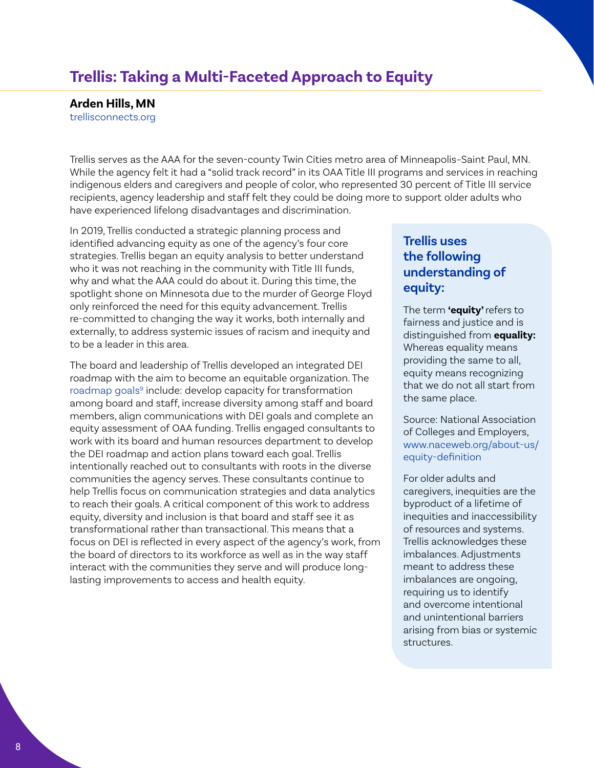### <span id="page-7-0"></span>**Trellis: Taking a Multi-Faceted Approach to Equity**

**Arden Hills, MN**

[trellisconnects.org](http://trellisconnects.org) 

Trellis serves as the AAA for the seven-county Twin Cities metro area of Minneapolis–Saint Paul, MN. While the agency felt it had a "solid track record" in its OAA Title III programs and services in reaching indigenous elders and caregivers and people of color, who represented 30 percent of Title III service recipients, agency leadership and staff felt they could be doing more to support older adults who have experienced lifelong disadvantages and discrimination.

In 2019, Trellis conducted a strategic planning process and identified advancing equity as one of the agency's four core strategies. Trellis began an equity analysis to better understand who it was not reaching in the community with Title III funds, why and what the AAA could do about it. During this time, the spotlight shone on Minnesota due to the murder of George Floyd only reinforced the need for this equity advancement. Trellis re-committed to changing the way it works, both internally and externally, to address systemic issues of racism and inequity and to be a leader in this area.

The board and leadership of Trellis developed an integrated DEI roadmap with the aim to become an equitable organization. The [roadmap goals](https://2020annualreport.trellisconnects.org/)<sup>9</sup> include: develop capacity for transformation among board and staff, increase diversity among staff and board members, align communications with DEI goals and complete an equity assessment of OAA funding. Trellis engaged consultants to work with its board and human resources department to develop the DEI roadmap and action plans toward each goal. Trellis intentionally reached out to consultants with roots in the diverse communities the agency serves. These consultants continue to help Trellis focus on communication strategies and data analytics to reach their goals. A critical component of this work to address equity, diversity and inclusion is that board and staff see it as transformational rather than transactional. This means that a focus on DEI is reflected in every aspect of the agency's work, from the board of directors to its workforce as well as in the way staff interact with the communities they serve and will produce longlasting improvements to access and health equity.

### **Trellis uses the following understanding of equity:**

The term **'equity'** refers to fairness and justice and is distinguished from **equality:** Whereas equality means providing the same to all, equity means recognizing that we do not all start from the same place.

Source: National Association of Colleges and Employers, [www.naceweb.org/about-us/](https://www.naceweb.org/about-us/equity-definition) [equity-definition](https://www.naceweb.org/about-us/equity-definition)

For older adults and caregivers, inequities are the byproduct of a lifetime of inequities and inaccessibility of resources and systems. Trellis acknowledges these imbalances. Adjustments meant to address these imbalances are ongoing, requiring us to identify and overcome intentional and unintentional barriers arising from bias or systemic structures.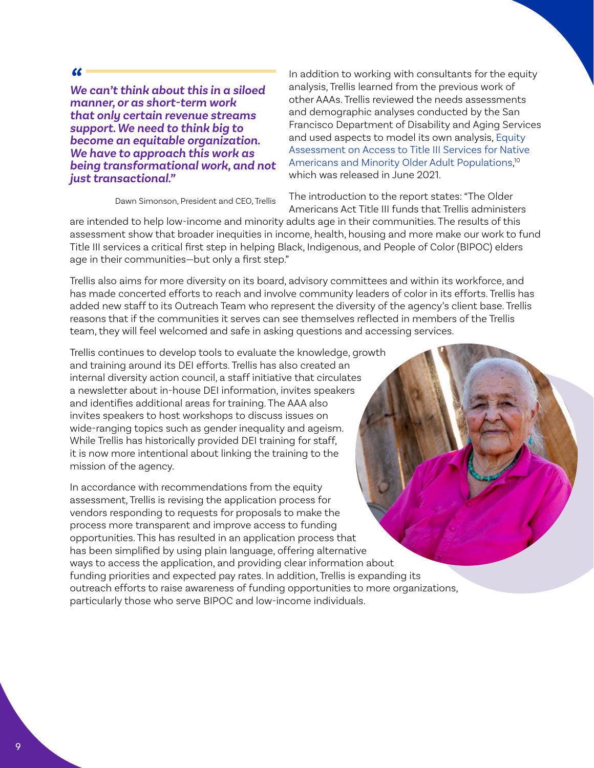#### <span id="page-8-0"></span> $\epsilon$

*We can't think about this in a siloed manner, or as short-term work that only certain revenue streams support. We need to think big to become an equitable organization. We have to approach this work as being transformational work, and not just transactional."*

In addition to working with consultants for the equity analysis, Trellis learned from the previous work of other AAAs. Trellis reviewed the needs assessments and demographic analyses conducted by the San Francisco Department of Disability and Aging Services and used aspects to model its own analysis, [Equity](https://trellisconnects.org/wp-content/uploads/2021/06/Trellis-OAA-Equity-Assessment-6-22-21.pdf)  [Assessment on Access to Title III Services for Native](https://trellisconnects.org/wp-content/uploads/2021/06/Trellis-OAA-Equity-Assessment-6-22-21.pdf)  [Americans and Minority Older Adult Populations](https://trellisconnects.org/wp-content/uploads/2021/06/Trellis-OAA-Equity-Assessment-6-22-21.pdf),<sup>[10](#page-16-0)</sup> which was released in June 2021.

Dawn Simonson, President and CEO, Trellis

The introduction to the report states: "The Older Americans Act Title III funds that Trellis administers

are intended to help low-income and minority adults age in their communities. The results of this assessment show that broader inequities in income, health, housing and more make our work to fund Title III services a critical first step in helping Black, Indigenous, and People of Color (BIPOC) elders age in their communities—but only a first step."

Trellis also aims for more diversity on its board, advisory committees and within its workforce, and has made concerted efforts to reach and involve community leaders of color in its efforts. Trellis has added new staff to its Outreach Team who represent the diversity of the agency's client base. Trellis reasons that if the communities it serves can see themselves reflected in members of the Trellis team, they will feel welcomed and safe in asking questions and accessing services.

Trellis continues to develop tools to evaluate the knowledge, growth and training around its DEI efforts. Trellis has also created an internal diversity action council, a staff initiative that circulates a newsletter about in-house DEI information, invites speakers and identifies additional areas for training. The AAA also invites speakers to host workshops to discuss issues on wide-ranging topics such as gender inequality and ageism. While Trellis has historically provided DEI training for staff, it is now more intentional about linking the training to the mission of the agency.

In accordance with recommendations from the equity assessment, Trellis is revising the application process for vendors responding to requests for proposals to make the process more transparent and improve access to funding opportunities. This has resulted in an application process that has been simplified by using plain language, offering alternative ways to access the application, and providing clear information about funding priorities and expected pay rates. In addition, Trellis is expanding its outreach efforts to raise awareness of funding opportunities to more organizations, particularly those who serve BIPOC and low-income individuals.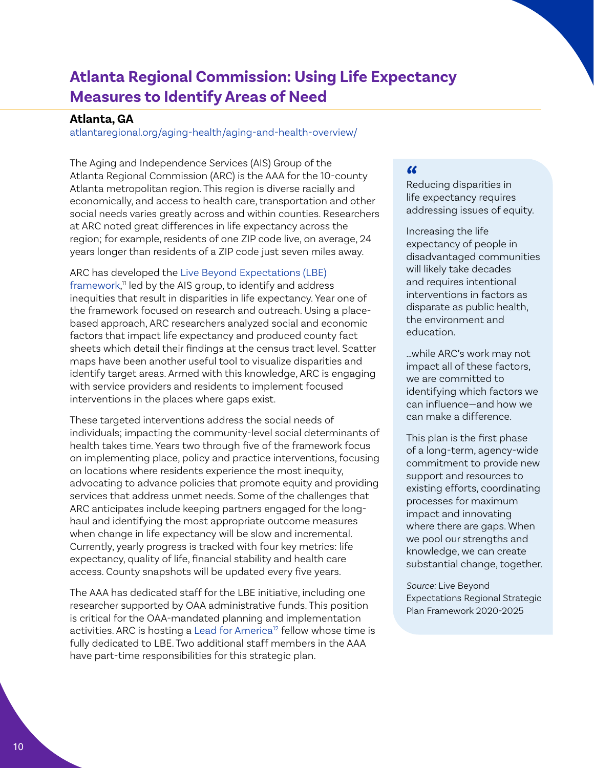# <span id="page-9-0"></span>**Atlanta Regional Commission: Using Life Expectancy Measures to Identify Areas of Need**

#### **Atlanta, GA**

[atlantaregional.org/aging-health/aging-and-health-overview/](https://atlantaregional.org/aging-health/aging-and-health-overview/)

The Aging and Independence Services (AIS) Group of the Atlanta Regional Commission (ARC) is the AAA for the 10-county Atlanta metropolitan region. This region is diverse racially and economically, and access to health care, transportation and other social needs varies greatly across and within counties. Researchers at ARC noted great differences in life expectancy across the region; for example, residents of one ZIP code live, on average, 24 years longer than residents of a ZIP code just seven miles away.

#### ARC has developed the [Live Beyond Expectations \(LBE\)](https://atlantaregional.org/aging-health/aging-health-planning/live-beyond-expectations-strategic-plan-2020-2025/)

[framework,](https://atlantaregional.org/aging-health/aging-health-planning/live-beyond-expectations-strategic-plan-2020-2025/) [11](#page-16-0) led by the AIS group, to identify and address inequities that result in disparities in life expectancy. Year one of the framework focused on research and outreach. Using a placebased approach, ARC researchers analyzed social and economic factors that impact life expectancy and produced county fact sheets which detail their findings at the census tract level. Scatter maps have been another useful tool to visualize disparities and identify target areas. Armed with this knowledge, ARC is engaging with service providers and residents to implement focused interventions in the places where gaps exist.

These targeted interventions address the social needs of individuals; impacting the community-level social determinants of health takes time. Years two through five of the framework focus on implementing place, policy and practice interventions, focusing on locations where residents experience the most inequity, advocating to advance policies that promote equity and providing services that address unmet needs. Some of the challenges that ARC anticipates include keeping partners engaged for the longhaul and identifying the most appropriate outcome measures when change in life expectancy will be slow and incremental. Currently, yearly progress is tracked with four key metrics: life expectancy, quality of life, financial stability and health care access. County snapshots will be updated every five years.

The AAA has dedicated staff for the LBE initiative, including one researcher supported by OAA administrative funds. This position is critical for the OAA-mandated planning and implementation activities. ARC is hosting a [Lead for America](https://www.lead4america.org/)<sup>[12](#page-16-0)</sup> fellow whose time is fully dedicated to LBE. Two additional staff members in the AAA have part-time responsibilities for this strategic plan.

#### $\epsilon$

Reducing disparities in life expectancy requires addressing issues of equity.

Increasing the life expectancy of people in disadvantaged communities will likely take decades and requires intentional interventions in factors as disparate as public health, the environment and education.

…while ARC's work may not impact all of these factors, we are committed to identifying which factors we can influence—and how we can make a difference.

This plan is the first phase of a long-term, agency-wide commitment to provide new support and resources to existing efforts, coordinating processes for maximum impact and innovating where there are gaps. When we pool our strengths and knowledge, we can create substantial change, together.

*Source:* Live Beyond Expectations Regional Strategic Plan Framework 2020-2025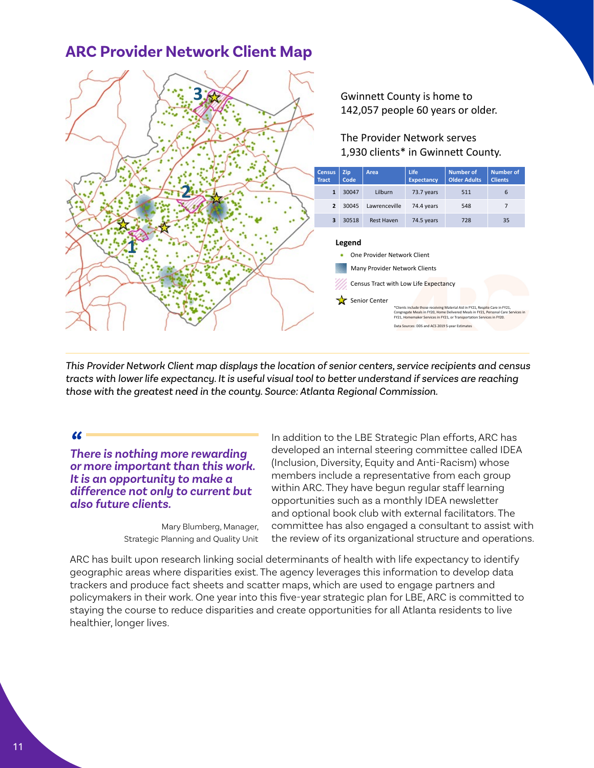### **ARC Provider Network Client Map**



*This Provider Network Client map displays the location of senior centers, service recipients and census tracts with lower life expectancy. It is useful visual tool to better understand if services are reaching those with the greatest need in the county. Source: Atlanta Regional Commission.*

#### $\alpha$

*There is nothing more rewarding or more important than this work. It is an opportunity to make a difference not only to current but also future clients.*

> Mary Blumberg, Manager, Strategic Planning and Quality Unit

In addition to the LBE Strategic Plan efforts, ARC has developed an internal steering committee called IDEA (Inclusion, Diversity, Equity and Anti-Racism) whose members include a representative from each group within ARC. They have begun regular staff learning opportunities such as a monthly IDEA newsletter and optional book club with external facilitators. The committee has also engaged a consultant to assist with the review of its organizational structure and operations.

ARC has built upon research linking social determinants of health with life expectancy to identify geographic areas where disparities exist. The agency leverages this information to develop data trackers and produce fact sheets and scatter maps, which are used to engage partners and policymakers in their work. One year into this five-year strategic plan for LBE, ARC is committed to staying the course to reduce disparities and create opportunities for all Atlanta residents to live healthier, longer lives.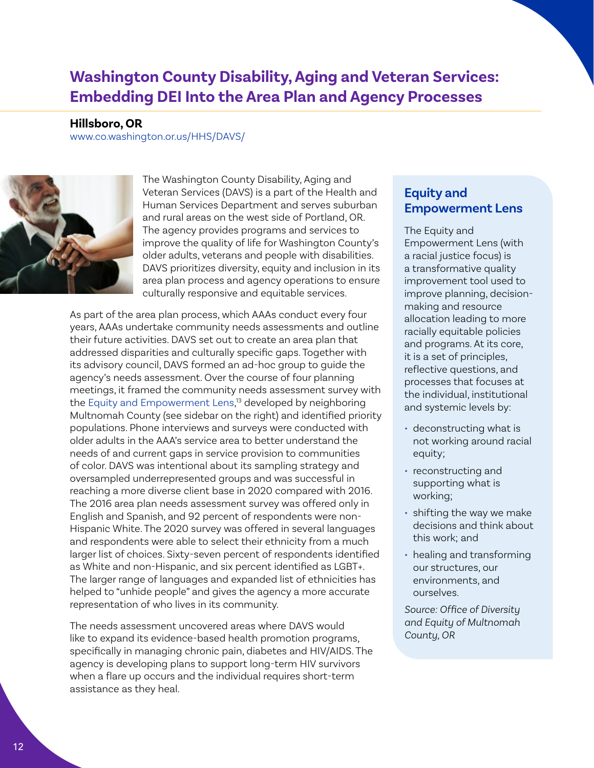### <span id="page-11-0"></span>**Washington County Disability, Aging and Veteran Services: Embedding DEI Into the Area Plan and Agency Processes**

**Hillsboro, OR**

[www.co.washington.or.us/HHS/DAVS/](https://www.co.washington.or.us/HHS/DAVS/)



The Washington County Disability, Aging and Veteran Services (DAVS) is a part of the Health and Human Services Department and serves suburban and rural areas on the west side of Portland, OR. The agency provides programs and services to improve the quality of life for Washington County's older adults, veterans and people with disabilities. DAVS prioritizes diversity, equity and inclusion in its area plan process and agency operations to ensure culturally responsive and equitable services.

As part of the area plan process, which AAAs conduct every four years, AAAs undertake community needs assessments and outline their future activities. DAVS set out to create an area plan that addressed disparities and culturally specific gaps. Together with its advisory council, DAVS formed an ad-hoc group to guide the agency's needs assessment. Over the course of four planning meetings, it framed the community needs assessment survey with the [Equity and Empowerment Lens](https://www.multco.us/diversity-equity/equity-and-empowerment-lens), [13](#page-16-0) developed by neighboring Multnomah County (see sidebar on the right) and identified priority populations. Phone interviews and surveys were conducted with older adults in the AAA's service area to better understand the needs of and current gaps in service provision to communities of color. DAVS was intentional about its sampling strategy and oversampled underrepresented groups and was successful in reaching a more diverse client base in 2020 compared with 2016. The 2016 area plan needs assessment survey was offered only in English and Spanish, and 92 percent of respondents were non-Hispanic White. The 2020 survey was offered in several languages and respondents were able to select their ethnicity from a much larger list of choices. Sixty-seven percent of respondents identified as White and non-Hispanic, and six percent identified as LGBT+. The larger range of languages and expanded list of ethnicities has helped to "unhide people" and gives the agency a more accurate representation of who lives in its community.

The needs assessment uncovered areas where DAVS would like to expand its evidence-based health promotion programs, specifically in managing chronic pain, diabetes and HIV/AIDS. The agency is developing plans to support long-term HIV survivors when a flare up occurs and the individual requires short-term assistance as they heal.

### **Equity and Empowerment Lens**

The Equity and Empowerment Lens (with a racial justice focus) is a transformative quality improvement tool used to improve planning, decisionmaking and resource allocation leading to more racially equitable policies and programs. At its core, it is a set of principles, reflective questions, and processes that focuses at the individual, institutional and systemic levels by:

- deconstructing what is not working around racial equity;
- reconstructing and supporting what is working;
- shifting the way we make decisions and think about this work; and
- healing and transforming our structures, our environments, and ourselves.

*Source: Office of Diversity and Equity of Multnomah County, OR*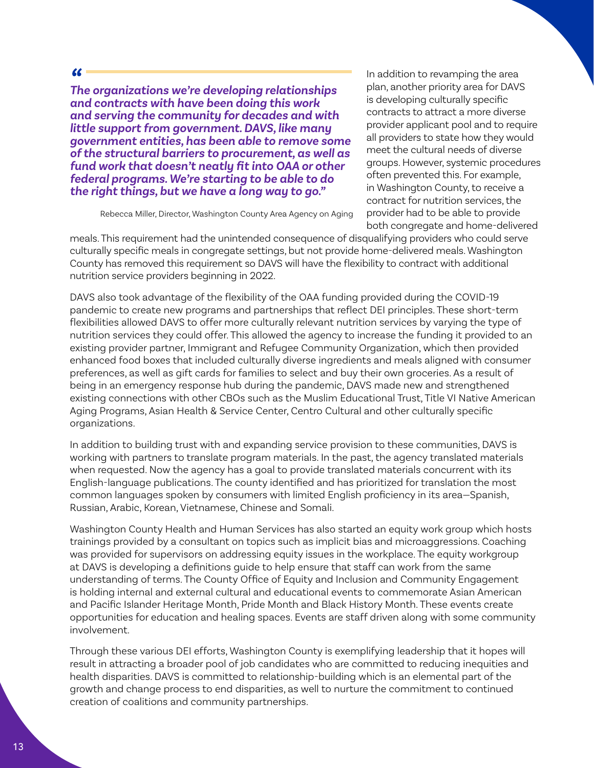#### $\alpha$

*The organizations we're developing relationships and contracts with have been doing this work and serving the community for decades and with little support from government. DAVS, like many government entities, has been able to remove some of the structural barriers to procurement, as well as fund work that doesn't neatly fit into OAA or other federal programs. We're starting to be able to do the right things, but we have a long way to go."* 

In addition to revamping the area plan, another priority area for DAVS is developing culturally specific contracts to attract a more diverse provider applicant pool and to require all providers to state how they would meet the cultural needs of diverse groups. However, systemic procedures often prevented this. For example, in Washington County, to receive a contract for nutrition services, the provider had to be able to provide both congregate and home-delivered

Rebecca Miller, Director, Washington County Area Agency on Aging

meals. This requirement had the unintended consequence of disqualifying providers who could serve culturally specific meals in congregate settings, but not provide home-delivered meals. Washington County has removed this requirement so DAVS will have the flexibility to contract with additional nutrition service providers beginning in 2022.

DAVS also took advantage of the flexibility of the OAA funding provided during the COVID-19 pandemic to create new programs and partnerships that reflect DEI principles. These short-term flexibilities allowed DAVS to offer more culturally relevant nutrition services by varying the type of nutrition services they could offer. This allowed the agency to increase the funding it provided to an existing provider partner, Immigrant and Refugee Community Organization, which then provided enhanced food boxes that included culturally diverse ingredients and meals aligned with consumer preferences, as well as gift cards for families to select and buy their own groceries. As a result of being in an emergency response hub during the pandemic, DAVS made new and strengthened existing connections with other CBOs such as the Muslim Educational Trust, Title VI Native American Aging Programs, Asian Health & Service Center, Centro Cultural and other culturally specific organizations.

In addition to building trust with and expanding service provision to these communities, DAVS is working with partners to translate program materials. In the past, the agency translated materials when requested. Now the agency has a goal to provide translated materials concurrent with its English-language publications. The county identified and has prioritized for translation the most common languages spoken by consumers with limited English proficiency in its area—Spanish, Russian, Arabic, Korean, Vietnamese, Chinese and Somali.

Washington County Health and Human Services has also started an equity work group which hosts trainings provided by a consultant on topics such as implicit bias and microaggressions. Coaching was provided for supervisors on addressing equity issues in the workplace. The equity workgroup at DAVS is developing a definitions guide to help ensure that staff can work from the same understanding of terms. The County Office of Equity and Inclusion and Community Engagement is holding internal and external cultural and educational events to commemorate Asian American and Pacific Islander Heritage Month, Pride Month and Black History Month. These events create opportunities for education and healing spaces. Events are staff driven along with some community involvement.

Through these various DEI efforts, Washington County is exemplifying leadership that it hopes will result in attracting a broader pool of job candidates who are committed to reducing inequities and health disparities. DAVS is committed to relationship-building which is an elemental part of the growth and change process to end disparities, as well to nurture the commitment to continued creation of coalitions and community partnerships.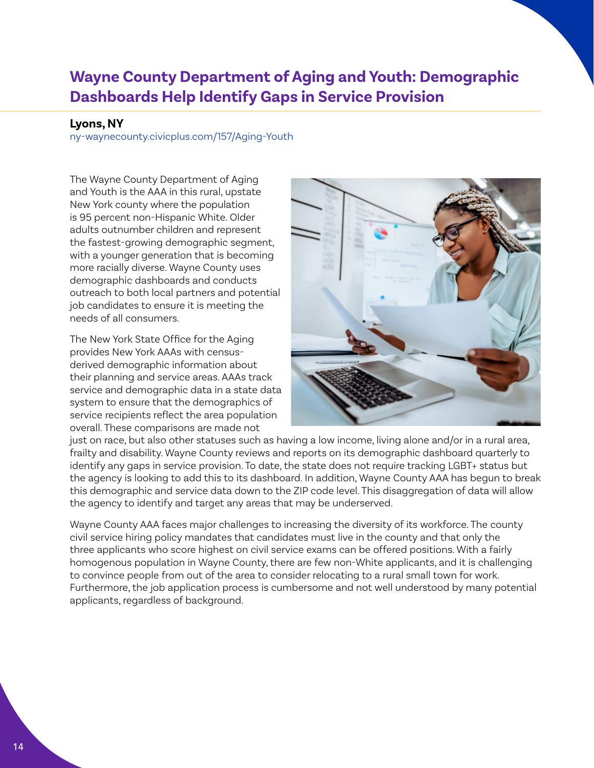# <span id="page-13-0"></span>**Wayne County Department of Aging and Youth: Demographic Dashboards Help Identify Gaps in Service Provision**

#### **Lyons, NY**

[ny-waynecounty.civicplus.com/157/Aging-Youth](https://ny-waynecounty.civicplus.com/157/Aging-Youth)

The Wayne County Department of Aging and Youth is the AAA in this rural, upstate New York county where the population is 95 percent non-Hispanic White. Older adults outnumber children and represent the fastest-growing demographic segment, with a younger generation that is becoming more racially diverse. Wayne County uses demographic dashboards and conducts outreach to both local partners and potential job candidates to ensure it is meeting the needs of all consumers.

The New York State Office for the Aging provides New York AAAs with censusderived demographic information about their planning and service areas. AAAs track service and demographic data in a state data system to ensure that the demographics of service recipients reflect the area population overall. These comparisons are made not



just on race, but also other statuses such as having a low income, living alone and/or in a rural area, frailty and disability. Wayne County reviews and reports on its demographic dashboard quarterly to identify any gaps in service provision. To date, the state does not require tracking LGBT+ status but the agency is looking to add this to its dashboard. In addition, Wayne County AAA has begun to break this demographic and service data down to the ZIP code level. This disaggregation of data will allow the agency to identify and target any areas that may be underserved.

Wayne County AAA faces major challenges to increasing the diversity of its workforce. The county civil service hiring policy mandates that candidates must live in the county and that only the three applicants who score highest on civil service exams can be offered positions. With a fairly homogenous population in Wayne County, there are few non-White applicants, and it is challenging to convince people from out of the area to consider relocating to a rural small town for work. Furthermore, the job application process is cumbersome and not well understood by many potential applicants, regardless of background.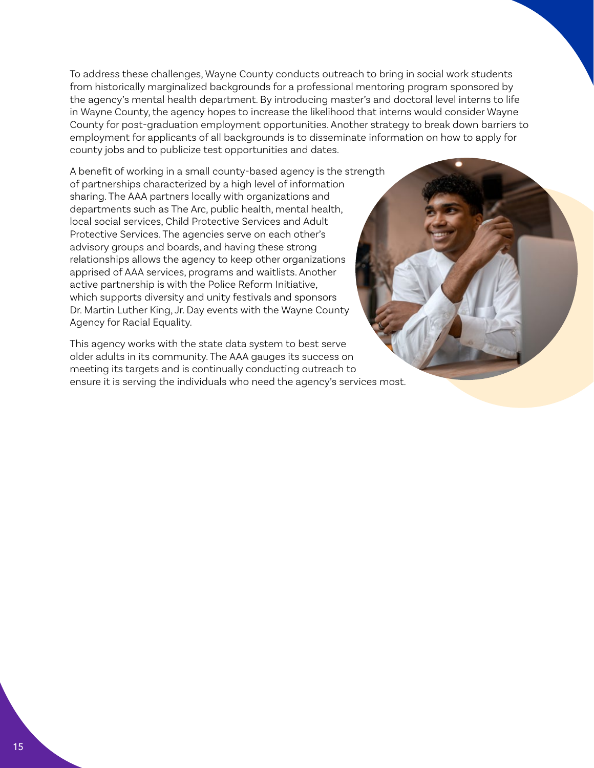To address these challenges, Wayne County conducts outreach to bring in social work students from historically marginalized backgrounds for a professional mentoring program sponsored by the agency's mental health department. By introducing master's and doctoral level interns to life in Wayne County, the agency hopes to increase the likelihood that interns would consider Wayne County for post-graduation employment opportunities. Another strategy to break down barriers to employment for applicants of all backgrounds is to disseminate information on how to apply for county jobs and to publicize test opportunities and dates.

A benefit of working in a small county-based agency is the strength of partnerships characterized by a high level of information sharing. The AAA partners locally with organizations and departments such as The Arc, public health, mental health, local social services, Child Protective Services and Adult Protective Services. The agencies serve on each other's advisory groups and boards, and having these strong relationships allows the agency to keep other organizations apprised of AAA services, programs and waitlists. Another active partnership is with the Police Reform Initiative, which supports diversity and unity festivals and sponsors Dr. Martin Luther King, Jr. Day events with the Wayne County Agency for Racial Equality.

This agency works with the state data system to best serve older adults in its community. The AAA gauges its success on meeting its targets and is continually conducting outreach to ensure it is serving the individuals who need the agency's services most.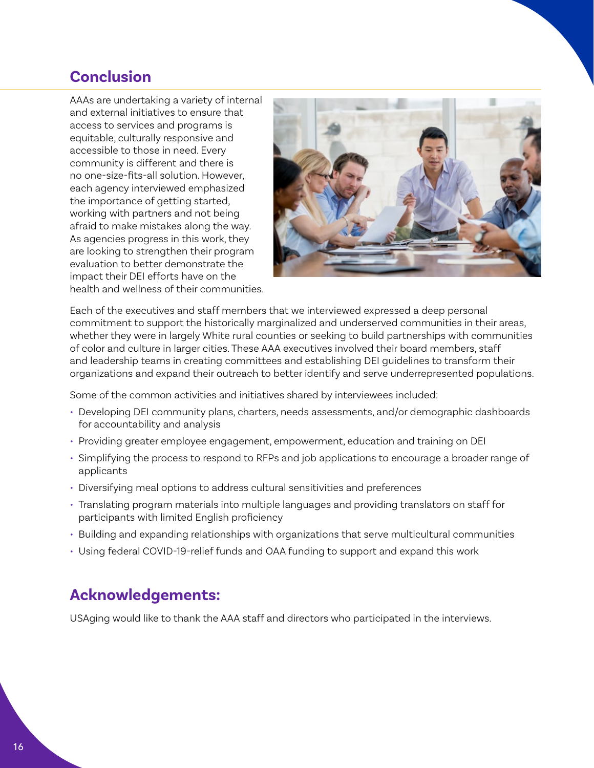### <span id="page-15-0"></span>**Conclusion**

AAAs are undertaking a variety of internal and external initiatives to ensure that access to services and programs is equitable, culturally responsive and accessible to those in need. Every community is different and there is no one-size-fits-all solution. However, each agency interviewed emphasized the importance of getting started, working with partners and not being afraid to make mistakes along the way. As agencies progress in this work, they are looking to strengthen their program evaluation to better demonstrate the impact their DEI efforts have on the health and wellness of their communities.



Each of the executives and staff members that we interviewed expressed a deep personal commitment to support the historically marginalized and underserved communities in their areas, whether they were in largely White rural counties or seeking to build partnerships with communities of color and culture in larger cities. These AAA executives involved their board members, staff and leadership teams in creating committees and establishing DEI guidelines to transform their organizations and expand their outreach to better identify and serve underrepresented populations.

Some of the common activities and initiatives shared by interviewees included:

- Developing DEI community plans, charters, needs assessments, and/or demographic dashboards for accountability and analysis
- Providing greater employee engagement, empowerment, education and training on DEI
- Simplifying the process to respond to RFPs and job applications to encourage a broader range of applicants
- Diversifying meal options to address cultural sensitivities and preferences
- Translating program materials into multiple languages and providing translators on staff for participants with limited English proficiency
- Building and expanding relationships with organizations that serve multicultural communities
- Using federal COVID-19-relief funds and OAA funding to support and expand this work

### **Acknowledgements:**

USAging would like to thank the AAA staff and directors who participated in the interviews.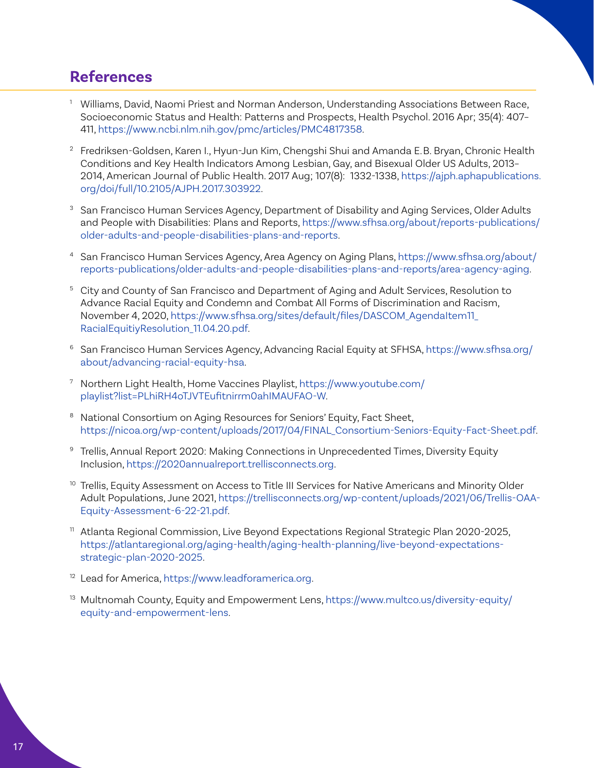### <span id="page-16-0"></span>**References**

- <sup>[1](#page-1-0)</sup> Williams, David, Naomi Priest and Norman Anderson, Understanding Associations Between Race, Socioeconomic Status and Health: Patterns and Prospects, Health Psychol. 2016 Apr; 35(4): 407– 411,<https://www.ncbi.nlm.nih.gov/pmc/articles/PMC4817358>.
- <sup>[2](#page-1-0)</sup> Fredriksen-Goldsen, Karen I., Hyun-Jun Kim, Chengshi Shui and Amanda E.B. Bryan, Chronic Health Conditions and Key Health Indicators Among Lesbian, Gay, and Bisexual Older US Adults, 2013– 2014, American Journal of Public Health. 2017 Aug; 107(8): 1332-1338, [https://ajph.aphapublications.](https://ajph.aphapublications.org/doi/full/10.2105/AJPH.2017.303922) [org/doi/full/10.2105/AJPH.2017.303922.](https://ajph.aphapublications.org/doi/full/10.2105/AJPH.2017.303922)
- <sup>[3](#page-2-0)</sup> San Francisco Human Services Agency, Department of Disability and Aging Services, Older Adults and People with Disabilities: Plans and Reports, [https://www.sfhsa.org/about/reports-publications/](https://www.sfhsa.org/about/reports-publications/older-adults-and-people-disabilities-plans-and-reports) [older-adults-and-people-disabilities-plans-and-reports](https://www.sfhsa.org/about/reports-publications/older-adults-and-people-disabilities-plans-and-reports).
- [4](#page-2-0) San Francisco Human Services Agency, Area Agency on Aging Plans, [https://www.sfhsa.org/about/](https://www.sfhsa.org/about/reports-publications/older-adults-and-people-disabilities-plans-and-reports/area-agency-aging) [reports-publications/older-adults-and-people-disabilities-plans-and-reports/area-agency-aging.](https://www.sfhsa.org/about/reports-publications/older-adults-and-people-disabilities-plans-and-reports/area-agency-aging)
- <sup>[5](#page-2-0)</sup> City and County of San Francisco and Department of Aging and Adult Services, Resolution to Advance Racial Equity and Condemn and Combat All Forms of Discrimination and Racism, November 4, 2020, [https://www.sfhsa.org/sites/default/files/DASCOM\\_AgendaItem11\\_](https://www.sfhsa.org/sites/default/files/DASCOM_AgendaItem11_RacialEquitiyResolution_11.04.20.pdf) [RacialEquitiyResolution\\_11.04.20.pdf](https://www.sfhsa.org/sites/default/files/DASCOM_AgendaItem11_RacialEquitiyResolution_11.04.20.pdf).
- <sup>[6](#page-3-0)</sup> San Francisco Human Services Agency, Advancing Racial Equity at SFHSA, [https://www.sfhsa.org/](https://www.sfhsa.org/about/advancing-racial-equity-hsa) [about/advancing-racial-equity-hsa.](https://www.sfhsa.org/about/advancing-racial-equity-hsa)
- [7](#page-5-0) Northern Light Health, Home Vaccines Playlist, [https://www.youtube.com/](https://www.youtube.com/playlist?list=PLhiRH4oTJVTEufitnirrm0ahIMAUFAO-W) [playlist?list=PLhiRH4oTJVTEufitnirrm0ahIMAUFAO-W.](https://www.youtube.com/playlist?list=PLhiRH4oTJVTEufitnirrm0ahIMAUFAO-W)
- <sup>[8](#page-6-0)</sup> National Consortium on Aging Resources for Seniors' Equity, Fact Sheet, [https://nicoa.org/wp-content/uploads/2017/04/FINAL\\_Consortium-Seniors-Equity-Fact-Sheet.pdf](https://nicoa.org/wp-content/uploads/2017/04/FINAL_Consortium-Seniors-Equity-Fact-Sheet.pdf).
- [9](#page-7-0) Trellis, Annual Report 2020: Making Connections in Unprecedented Times, Diversity Equity Inclusion,<https://2020annualreport.trellisconnects.org>.
- <sup>[10](#page-8-0)</sup> Trellis, Equity Assessment on Access to Title III Services for Native Americans and Minority Older Adult Populations, June 2021, [https://trellisconnects.org/wp-content/uploads/2021/06/Trellis-OAA-](https://trellisconnects.org/wp-content/uploads/2021/06/Trellis-OAA-Equity-Assessment-6-22-21.pdf)[Equity-Assessment-6-22-21.pdf.](https://trellisconnects.org/wp-content/uploads/2021/06/Trellis-OAA-Equity-Assessment-6-22-21.pdf)
- <sup>[11](#page-9-0)</sup> Atlanta Regional Commission, Live Beyond Expectations Regional Strategic Plan 2020-2025, [https://atlantaregional.org/aging-health/aging-health-planning/live-beyond-expectations](https://atlantaregional.org/aging-health/aging-health-planning/live-beyond-expectations-strategic-plan-2020-2025)[strategic-plan-2020-2025.](https://atlantaregional.org/aging-health/aging-health-planning/live-beyond-expectations-strategic-plan-2020-2025)
- [12](#page-9-0) Lead for America, <https://www.leadforamerica.org>.
- <sup>[13](#page-11-0)</sup> Multnomah County, Equity and Empowerment Lens, [https://www.multco.us/diversity-equity/](https://www.multco.us/diversity-equity/equity-and-empowerment-lens) [equity-and-empowerment-lens](https://www.multco.us/diversity-equity/equity-and-empowerment-lens).